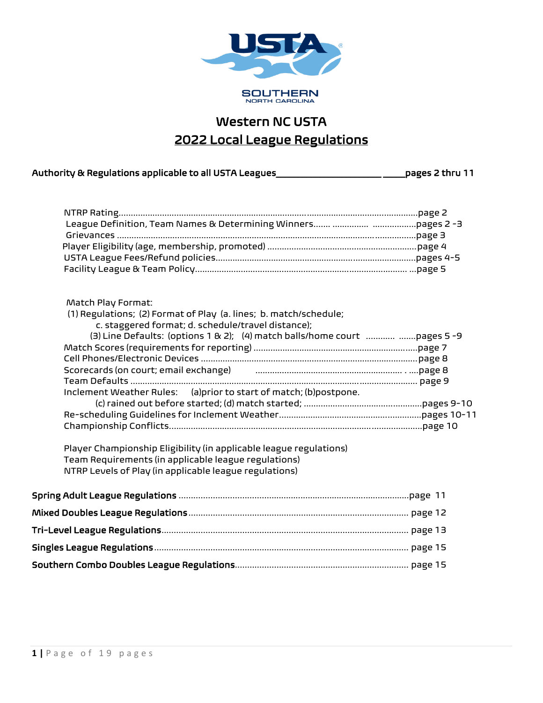

# Western NC USTA 2022 Local League Regulations

| Authority & Regulations applicable to all USTA Leagues | pages 2 thru 11 |
|--------------------------------------------------------|-----------------|
|                                                        |                 |

| Match Play Format:<br>(1) Regulations; (2) Format of Play (a. lines; b. match/schedule;<br>c. staggered format; d. schedule/travel distance);<br>(3) Line Defaults: (options 1 & 2); (4) match balls/home court  pages 5-9<br>Scorecards (on court; email exchange) использованность и пользование и праде 8<br>Inclement Weather Rules: (a)prior to start of match; (b)postpone.<br>Player Championship Eligibility (in applicable league regulations)<br>Team Requirements (in applicable league regulations)<br>NTRP Levels of Play (in applicable league regulations) |  |
|---------------------------------------------------------------------------------------------------------------------------------------------------------------------------------------------------------------------------------------------------------------------------------------------------------------------------------------------------------------------------------------------------------------------------------------------------------------------------------------------------------------------------------------------------------------------------|--|
|                                                                                                                                                                                                                                                                                                                                                                                                                                                                                                                                                                           |  |
|                                                                                                                                                                                                                                                                                                                                                                                                                                                                                                                                                                           |  |
|                                                                                                                                                                                                                                                                                                                                                                                                                                                                                                                                                                           |  |
|                                                                                                                                                                                                                                                                                                                                                                                                                                                                                                                                                                           |  |
|                                                                                                                                                                                                                                                                                                                                                                                                                                                                                                                                                                           |  |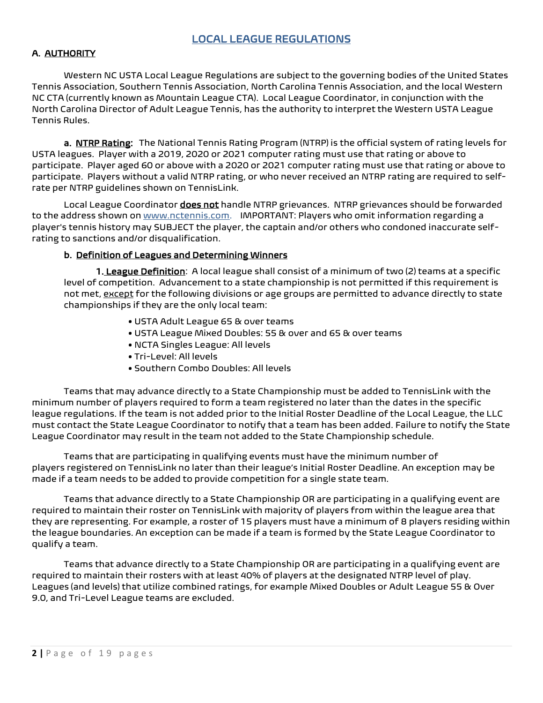# LOCAL LEAGUE REGULATIONS

#### A. AUTHORITY

Western NC USTA Local League Regulations are subject to the governing bodies of the United States Tennis Association, Southern Tennis Association, North Carolina Tennis Association, and the local Western NC CTA (currently known as Mountain League CTA). Local League Coordinator, in conjunction with the North Carolina Director of Adult League Tennis, has the authority to interpret the Western USTA League Tennis Rules.

a. NTRP Rating: The National Tennis Rating Program (NTRP) is the official system of rating levels for USTA leagues. Player with a 2019, 2020 or 2021 computer rating must use that rating or above to participate. Player aged 60 or above with a 2020 or 2021 computer rating must use that rating or above to participate. Players without a valid NTRP rating, or who never received an NTRP rating are required to selfrate per NTRP guidelines shown on TennisLink.

Local League Coordinator *does not* handle NTRP grievances. NTRP grievances should be forwarded to the address shown on www.nctennis.com. IMPORTANT: Players who omit information regarding a player's tennis history may SUBJECT the player, the captain and/or others who condoned inaccurate selfrating to sanctions and/or disqualification.

#### b. Definition of Leagues and Determining Winners

1. League Definition: A local league shall consist of a minimum of two (2) teams at a specific level of competition. Advancement to a state championship is not permitted if this requirement is not met, except for the following divisions or age groups are permitted to advance directly to state championships if they are the only local team:

- USTA Adult League 65 & over teams
- USTA League Mixed Doubles: 55 & over and 65 & over teams
- NCTA Singles League: All levels
- Tri-Level: All levels
- Southern Combo Doubles: All levels

Teams that may advance directly to a State Championship must be added to TennisLink with the minimum number of players required to form a team registered no later than the dates in the specific league regulations. If the team is not added prior to the Initial Roster Deadline of the Local League, the LLC must contact the State League Coordinator to notify that a team has been added. Failure to notify the State League Coordinator may result in the team not added to the State Championship schedule.

Teams that are participating in qualifying events must have the minimum number of players registered on TennisLink no later than their league's Initial Roster Deadline. An exception may be made if a team needs to be added to provide competition for a single state team.

Teams that advance directly to a State Championship OR are participating in a qualifying event are required to maintain their roster on TennisLink with majority of players from within the league area that they are representing. For example, a roster of 15 players must have a minimum of 8 players residing within the league boundaries. An exception can be made if a team is formed by the State League Coordinator to qualify a team.

Teams that advance directly to a State Championship OR are participating in a qualifying event are required to maintain their rosters with at least 40% of players at the designated NTRP level of play. Leagues (and levels) that utilize combined ratings, for example Mixed Doubles or Adult League 55 & Over 9.0, and Tri-Level League teams are excluded.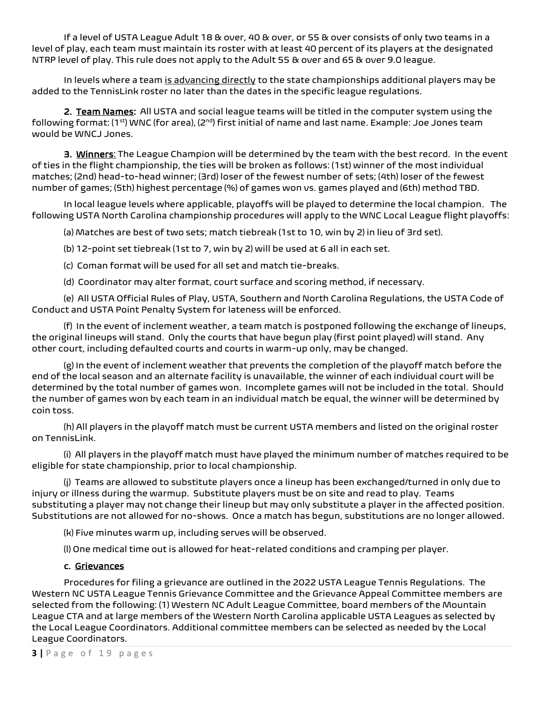If a level of USTA League Adult 18 & over, 40 & over, or 55 & over consists of only two teams in a level of play, each team must maintain its roster with at least 40 percent of its players at the designated NTRP level of play. This rule does not apply to the Adult 55 & over and 65 & over 9.0 league.

In levels where a team is advancing directly to the state championships additional players may be added to the TennisLink roster no later than the dates in the specific league regulations.

2. Team Names: All USTA and social league teams will be titled in the computer system using the following format: (1st) WNC (for area), (2<sup>nd</sup>) first initial of name and last name. Example: Joe Jones team would be WNCJ Jones.

3. Winners: The League Champion will be determined by the team with the best record. In the event of ties in the flight championship, the ties will be broken as follows: (1st) winner of the most individual matches; (2nd) head-to-head winner; (3rd) loser of the fewest number of sets; (4th) loser of the fewest number of games; (5th) highest percentage (%) of games won vs. games played and (6th) method TBD.

In local league levels where applicable, playoffs will be played to determine the local champion. The following USTA North Carolina championship procedures will apply to the WNC Local League flight playoffs:

(a) Matches are best of two sets; match tiebreak (1st to 10, win by 2) in lieu of 3rd set).

(b) 12-point set tiebreak (1st to 7, win by 2) will be used at 6 all in each set.

(c) Coman format will be used for all set and match tie-breaks.

(d) Coordinator may alter format, court surface and scoring method, if necessary.

(e) All USTA Official Rules of Play, USTA, Southern and North Carolina Regulations, the USTA Code of Conduct and USTA Point Penalty System for lateness will be enforced.

(f) In the event of inclement weather, a team match is postponed following the exchange of lineups, the original lineups will stand. Only the courts that have begun play (first point played) will stand. Any other court, including defaulted courts and courts in warm-up only, may be changed.

(g) In the event of inclement weather that prevents the completion of the playoff match before the end of the local season and an alternate facility is unavailable, the winner of each individual court will be determined by the total number of games won. Incomplete games will not be included in the total. Should the number of games won by each team in an individual match be equal, the winner will be determined by coin toss.

(h) All players in the playoff match must be current USTA members and listed on the original roster on TennisLink.

(i) All players in the playoff match must have played the minimum number of matches required to be eligible for state championship, prior to local championship.

(j) Teams are allowed to substitute players once a lineup has been exchanged/turned in only due to injury or illness during the warmup. Substitute players must be on site and read to play. Teams substituting a player may not change their lineup but may only substitute a player in the affected position. Substitutions are not allowed for no-shows. Once a match has begun, substitutions are no longer allowed.

(k) Five minutes warm up, including serves will be observed.

(l) One medical time out is allowed for heat-related conditions and cramping per player.

# c. Grievances

Procedures for filing a grievance are outlined in the 2022USTA League Tennis Regulations. The Western NC USTA League Tennis Grievance Committee and the Grievance Appeal Committee members are selected from the following: (1) Western NC Adult League Committee, board members of the Mountain League CTA and at large members of the Western North Carolina applicable USTA Leagues as selected by the Local League Coordinators. Additional committee members can be selected as needed by the Local League Coordinators.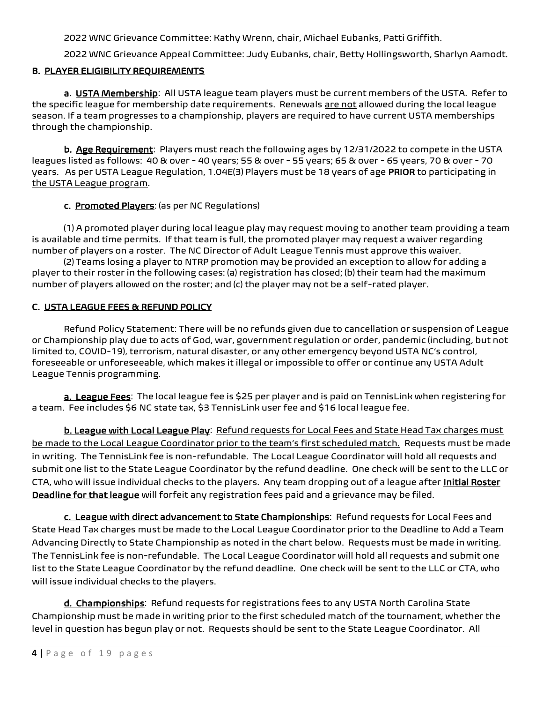2022 WNC Grievance Committee: Kathy Wrenn, chair, Michael Eubanks, Patti Griffith.

2022 WNC Grievance Appeal Committee: Judy Eubanks, chair, Betty Hollingsworth, Sharlyn Aamodt.

# B. PLAYER ELIGIBILITY REQUIREMENTS

a. USTA Membership: All USTA league team players must be current members of the USTA. Refer to the specific league for membership date requirements. Renewals are not allowed during the local league season. If a team progresses to a championship, players are required to have current USTA memberships through the championship.

b. Age Requirement: Players must reach the following ages by 12/31/2022 to compete in the USTA leagues listed as follows: 40 & over - 40 years; 55 & over - 55 years; 65 & over - 65 years, 70 & over - 70 years. As per USTA League Regulation, 1.04E(3) Players must be 18 years of age PRIOR to participating in the USTA League program.

c. Promoted Players: (as per NC Regulations)

(1) A promoted player during local league play may request moving to another team providing a team is available and time permits. If that team is full, the promoted player may request a waiver regarding number of players on a roster. The NC Director of Adult League Tennis must approve this waiver.

(2) Teams losing a player to NTRP promotion may be provided an exception to allow for adding a player to their roster in the following cases: (a) registration has closed; (b) their team had the maximum number of players allowed on the roster; and (c) the player may not be a self-rated player.

# C. USTA LEAGUE FEES & REFUND POLICY

Refund Policy Statement: There will be no refunds given due to cancellation or suspension of League or Championship play due to acts of God, war, government regulation or order, pandemic (including, but not limited to, COVID-19), terrorism, natural disaster, or any other emergency beyond USTA NC's control, foreseeable or unforeseeable, which makes it illegal or impossible to offer or continue any USTA Adult League Tennis programming.

a. League Fees: The local league fee is \$25 per player and is paid on TennisLink when registering for a team. Fee includes \$6 NC state tax, \$3 TennisLink user fee and \$16 local league fee.

b. League with Local League Play: Refund requests for Local Fees and State Head Tax charges must be made to the Local League Coordinator prior to the team's first scheduled match. Requests must be made in writing. The TennisLink fee is non-refundable. The Local League Coordinator will hold all requests and submit one list to the State League Coordinator by the refund deadline. One check will be sent to the LLC or CTA, who will issue individual checks to the players. Any team dropping out of a league after Initial Roster Deadline for that league will forfeit any registration fees paid and a grievance may be filed.

c. League with direct advancement to State Championships: Refund requests for Local Fees and State Head Tax charges must be made to the Local League Coordinator prior to the Deadline to Add a Team Advancing Directly to State Championship as noted in the chart below. Requests must be made in writing. The TennisLink fee is non-refundable. The Local League Coordinator will hold all requests and submit one list to the State League Coordinator by the refund deadline. One check will be sent to the LLC or CTA, who will issue individual checks to the players.

d. Championships: Refund requests for registrations fees to any USTA North Carolina State Championship must be made in writing prior to the first scheduled match of the tournament, whether the level in question has begun play or not. Requests should be sent to the State League Coordinator. All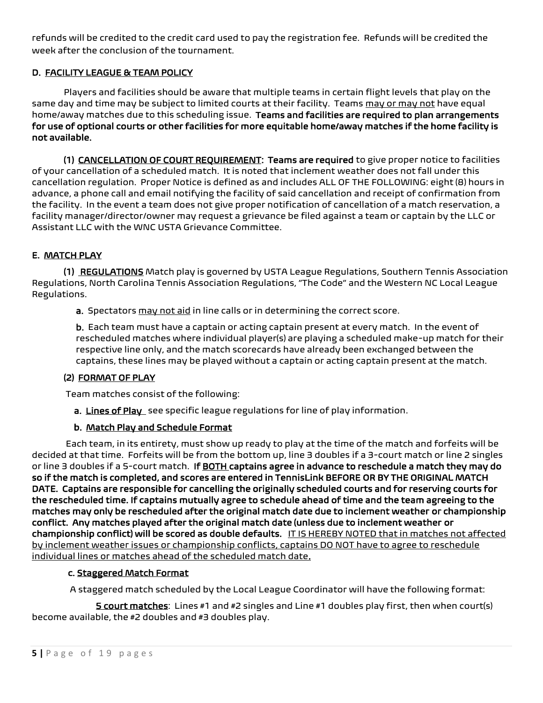refunds will be credited to the credit card used to pay the registration fee. Refunds will be credited the week after the conclusion of the tournament.

# D. FACILITY LEAGUE & TEAM POLICY

Players and facilities should be aware that multiple teams in certain flight levels that play on the same day and time may be subject to limited courts at their facility. Teams may or may not have equal home/away matches due to this scheduling issue. Teams and facilities are required to plan arrangements for use of optional courts or other facilities for more equitable home/away matches if the home facility is not available.

(1) CANCELLATION OF COURT REQUIREMENT: Teams are required to give proper notice to facilities of your cancellation of a scheduled match. It is noted that inclement weather does not fall under this cancellation regulation. Proper Notice is defined as and includes ALL OF THE FOLLOWING: eight (8) hours in advance, a phone call and email notifying the facility of said cancellation and receipt of confirmation from the facility. In the event a team does not give proper notification of cancellation of a match reservation, a facility manager/director/owner may request a grievance be filed against a team or captain by the LLC or Assistant LLC with the WNC USTA Grievance Committee.

# E. MATCH PLAY

(1) REGULATIONS Match play is governed by USTA League Regulations, Southern Tennis Association Regulations, North Carolina Tennis Association Regulations, "The Code" and the Western NC Local League Regulations.

a. Spectators may not aid in line calls or in determining the correct score.

b. Each team must have a captain or acting captain present at every match. In the event of rescheduled matches where individual player(s) are playing a scheduled make-up match for their respective line only, and the match scorecards have already been exchanged between the captains, these lines may be played without a captain or acting captain present at the match.

## (2) FORMAT OF PLAY

Team matches consist of the following:

a. Lines of Play see specific league regulations for line of play information.

## b. Match Play and Schedule Format

Each team, in its entirety, must show up ready to play at the time of the match and forfeits will be decided at that time. Forfeits will be from the bottom up, line 3 doubles if a 3-court match or line 2 singles or line 3 doubles if a 5-court match. If BOTH captains agree in advance to reschedule a match they may do so if the match is completed, and scores are entered in TennisLink BEFORE OR BY THE ORIGINAL MATCH DATE. Captains are responsible for cancelling the originally scheduled courts and for reserving courts for the rescheduled time. If captains mutually agree to schedule ahead of time and the team agreeing to the matches may only be rescheduled after the original match date due to inclement weather or championship conflict. Any matches played after the original match date (unless due to inclement weather or championship conflict) will be scored as double defaults. IT IS HEREBY NOTED that in matches not affected by inclement weather issues or championship conflicts, captains DO NOT have to agree to reschedule individual lines or matches ahead of the scheduled match date.

## c. Staggered Match Format

A staggered match scheduled by the Local League Coordinator will have the following format:

5 court matches: Lines #1 and #2 singles and Line #1 doubles play first, then when court(s) become available, the #2 doubles and #3 doubles play.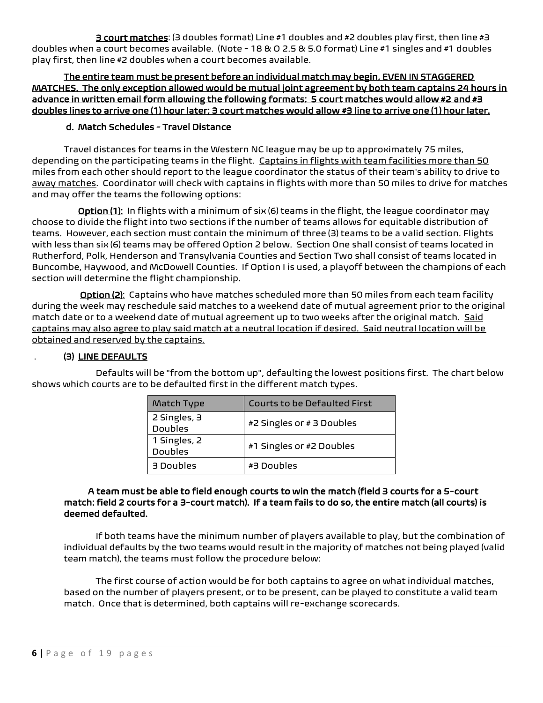3 court matches: (3 doubles format) Line #1 doubles and #2 doubles play first, then line #3 doubles when a court becomes available. (Note - 18 & O 2.5 & 5.0 format) Line #1 singles and #1 doubles play first, then line #2 doubles when a court becomes available.

The entire team must be present before an individual match may begin, EVEN IN STAGGERED MATCHES. The only exception allowed would be mutual joint agreement by both team captains 24 hours in advance in written email form allowing the following formats: 5 court matches would allow #2 and #3 doubles lines to arrive one (1) hour later; 3 court matches would allow #3 line to arrive one (1) hour later.

# d. Match Schedules - Travel Distance

Travel distances for teams in the Western NC league may be up to approximately 75 miles, depending on the participating teams in the flight. Captains in flights with team facilities more than 50 miles from each other should report to the league coordinator the status of their team's ability to drive to away matches. Coordinator will check with captains in flights with more than 50 miles to drive for matches and may offer the teams the following options:

 Option (1): In flights with a minimum of six (6) teams in the flight, the league coordinator may choose to divide the flight into two sections if the number of teams allows for equitable distribution of teams. However, each section must contain the minimum of three (3) teams to be a valid section. Flights with less than six (6) teams may be offered Option 2 below. Section One shall consist of teams located in Rutherford, Polk, Henderson and Transylvania Counties and Section Two shall consist of teams located in Buncombe, Haywood, and McDowell Counties. If Option I is used, a playoff between the champions of each section will determine the flight championship.

 Option (2): Captains who have matches scheduled more than 50 miles from each team facility during the week may reschedule said matches to a weekend date of mutual agreement prior to the original match date or to a weekend date of mutual agreement up to two weeks after the original match. Said captains may also agree to play said match at a neutral location if desired. Said neutral location will be obtained and reserved by the captains.

## . (3) LINE DEFAULTS

Defaults will be "from the bottom up", defaulting the lowest positions first. The chart below shows which courts are to be defaulted first in the different match types.

| Match Type                     | <b>Courts to be Defaulted First</b> |
|--------------------------------|-------------------------------------|
| 2 Singles, 3<br><b>Doubles</b> | #2 Singles or # 3 Doubles           |
| 1 Singles, 2<br><b>Doubles</b> | #1 Singles or #2 Doubles            |
| 3 Doubles                      | #3 Doubles                          |

#### A team must be able to field enough courts to win the match (field 3 courts for a 5-court match: field 2 courts for a 3-court match). If a team fails to do so, the entire match (all courts) is deemed defaulted.

If both teams have the minimum number of players available to play, but the combination of individual defaults by the two teams would result in the majority of matches not being played (valid team match), the teams must follow the procedure below:

The first course of action would be for both captains to agree on what individual matches, based on the number of players present, or to be present, can be played to constitute a valid team match. Once that is determined, both captains will re-exchange scorecards.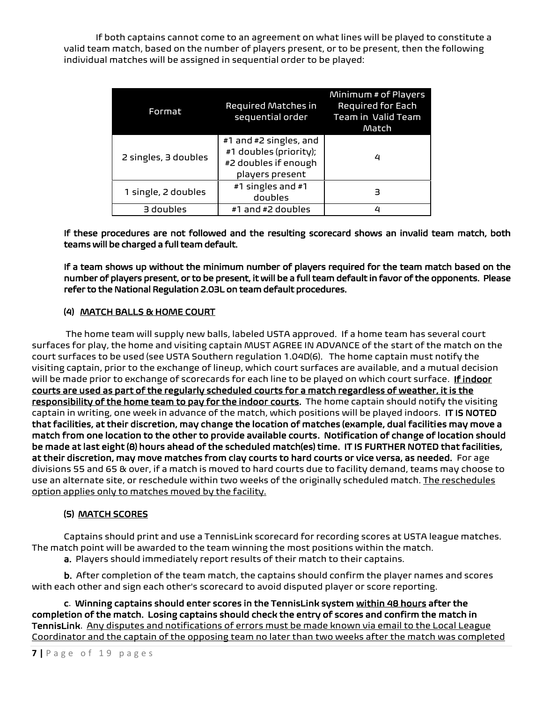If both captains cannot come to an agreement on what lines will be played to constitute a valid team match, based on the number of players present, or to be present, then the following individual matches will be assigned in sequential order to be played:

| Format               | Required Matches in<br>sequential order                                                     | Minimum # of Players<br>Required for Each<br>Team in Valid Team<br>Match |
|----------------------|---------------------------------------------------------------------------------------------|--------------------------------------------------------------------------|
| 2 singles, 3 doubles | #1 and #2 singles, and<br>#1 doubles (priority);<br>#2 doubles if enough<br>players present | 4                                                                        |
| 1 single, 2 doubles  | #1 singles and #1<br>doubles                                                                | 3                                                                        |
| 3 doubles            | #1 and #2 doubles                                                                           | 4                                                                        |

# If these procedures are not followed and the resulting scorecard shows an invalid team match, both teams will be charged a full team default.

If a team shows up without the minimum number of players required for the team match based on the number of players present, or to be present, it will be a full team default in favor of the opponents. Please refer to the National Regulation 2.03L on team default procedures.

# (4) MATCH BALLS & HOME COURT

The home team will supply new balls, labeled USTA approved. If a home team has several court surfaces for play, the home and visiting captain MUST AGREE IN ADVANCE of the start of the match on the court surfaces to be used (see USTA Southern regulation 1.04D(6). The home captain must notify the visiting captain, prior to the exchange of lineup, which court surfaces are available, and a mutual decision will be made prior to exchange of scorecards for each line to be played on which court surface. If indoor courts are used as part of the regularly scheduled courts for a match regardless of weather, it is the responsibility of the home team to pay for the indoor courts. The home captain should notify the visiting captain in writing, one week in advance of the match, which positions will be played indoors. IT IS NOTED that facilities, at their discretion, may change the location of matches (example, dual facilities may move a match from one location to the other to provide available courts. Notification of change of location should be made at last eight (8) hours ahead of the scheduled match(es) time. IT IS FURTHER NOTED that facilities, at their discretion, may move matches from clay courts to hard courts or vice versa, as needed. For age divisions 55 and 65 & over, if a match is moved to hard courts due to facility demand, teams may choose to use an alternate site, or reschedule within two weeks of the originally scheduled match. The reschedules option applies only to matches moved by the facility.

# (5) MATCH SCORES

Captains should print and use a TennisLink scorecard for recording scores at USTA league matches. The match point will be awarded to the team winning the most positions within the match.

a. Players should immediately report results of their match to their captains.

b. After completion of the team match, the captains should confirm the player names and scores with each other and sign each other's scorecard to avoid disputed player or score reporting.

c. Winning captains should enter scores in the TennisLink system within 48 hours after the completion of the match. Losing captains should check the entry of scores and confirm the match in TennisLink. Any disputes and notifications of errors must be made known via email to the Local League Coordinator and the captain of the opposing team no later than two weeks after the match was completed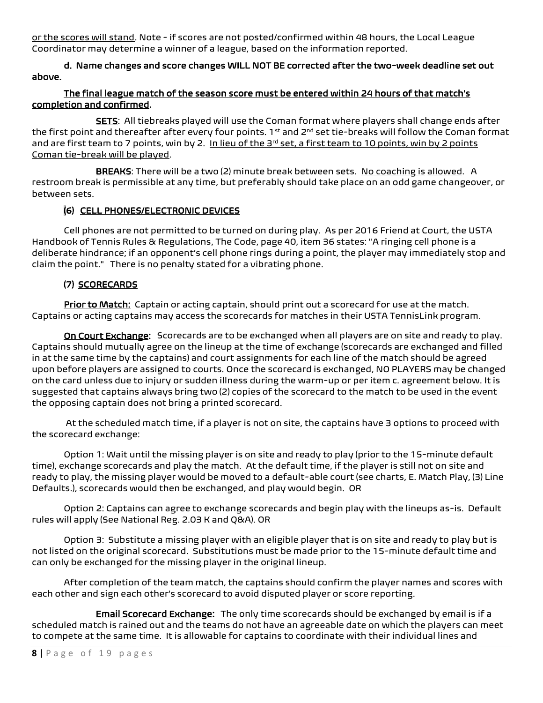or the scores will stand. Note - if scores are not posted/confirmed within 48 hours, the Local League Coordinator may determine a winner of a league, based on the information reported.

d. Name changes and score changes WILL NOT BE corrected after the two-week deadline set out above.

# The final league match of the season score must be entered within 24 hours of that match's completion and confirmed.

SETS: All tiebreaks played will use the Coman format where players shall change ends after the first point and thereafter after every four points. 1<sup>st</sup> and 2<sup>nd</sup> set tie-breaks will follow the Coman format and are first team to 7 points, win by 2. In lieu of the  $3<sup>rd</sup>$  set, a first team to 10 points, win by 2 points Coman tie-break will be played.

BREAKS: There will be a two (2) minute break between sets. No coaching is allowed. A restroom break is permissible at any time, but preferably should take place on an odd game changeover, or between sets.

# (6) CELL PHONES/ELECTRONIC DEVICES

 Cell phones are not permitted to be turned on during play. As per 2016 Friend at Court, the USTA Handbook of Tennis Rules & Regulations, The Code, page 40, item 36 states: "A ringing cell phone is a deliberate hindrance; if an opponent's cell phone rings during a point, the player may immediately stop and claim the point." There is no penalty stated for a vibrating phone.

# (7) SCORECARDS

Prior to Match: Captain or acting captain, should print out a scorecard for use at the match. Captains or acting captains may access the scorecards for matches in their USTA TennisLink program.

On Court Exchange: Scorecards are to be exchanged when all players are on site and ready to play. Captains should mutually agree on the lineup at the time of exchange (scorecards are exchanged and filled in at the same time by the captains) and court assignments for each line of the match should be agreed upon before players are assigned to courts. Once the scorecard is exchanged, NO PLAYERS may be changed on the card unless due to injury or sudden illness during the warm-up or per item c. agreement below. It is suggested that captains always bring two (2) copies of the scorecard to the match to be used in the event the opposing captain does not bring a printed scorecard.

At the scheduled match time, if a player is not on site, the captains have 3 options to proceed with the scorecard exchange:

Option 1: Wait until the missing player is on site and ready to play (prior to the 15-minute default time), exchange scorecards and play the match. At the default time, if the player is still not on site and ready to play, the missing player would be moved to a default-able court (see charts, E. Match Play, (3) Line Defaults.), scorecards would then be exchanged, and play would begin. OR

Option 2: Captains can agree to exchange scorecards and begin play with the lineups as-is. Default rules will apply (See National Reg. 2.03 K and Q&A). OR

Option 3: Substitute a missing player with an eligible player that is on site and ready to play but is not listed on the original scorecard. Substitutions must be made prior to the 15-minute default time and can only be exchanged for the missing player in the original lineup.

After completion of the team match, the captains should confirm the player names and scores with each other and sign each other's scorecard to avoid disputed player or score reporting.

**Email Scorecard Exchange:** The only time scorecards should be exchanged by email is if a scheduled match is rained out and the teams do not have an agreeable date on which the players can meet to compete at the same time. It is allowable for captains to coordinate with their individual lines and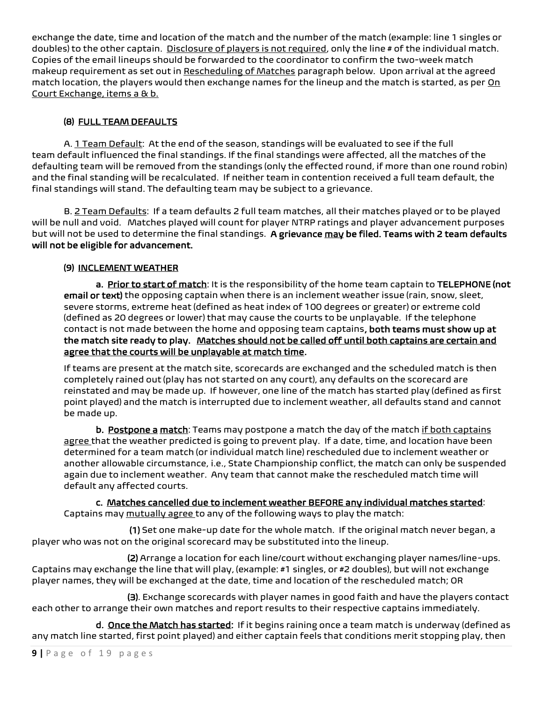exchange the date, time and location of the match and the number of the match (example: line 1 singles or doubles) to the other captain. Disclosure of players is not required, only the line # of the individual match. Copies of the email lineups should be forwarded to the coordinator to confirm the two-week match makeup requirement as set out in Rescheduling of Matches paragraph below. Upon arrival at the agreed match location, the players would then exchange names for the lineup and the match is started, as per On Court Exchange, items a & b.

# (8) FULL TEAM DEFAULTS

A. 1 Team Default: At the end of the season, standings will be evaluated to see if the full team default influenced the final standings. If the final standings were affected, all the matches of the defaulting team will be removed from the standings (only the effected round, if more than one round robin) and the final standing will be recalculated. If neither team in contention received a full team default, the final standings will stand. The defaulting team may be subject to a grievance.

B. 2 Team Defaults: If a team defaults 2 full team matches, all their matches played or to be played will be null and void. Matches played will count for player NTRP ratings and player advancement purposes but will not be used to determine the final standings. A grievance may be filed. Teams with 2 team defaults will not be eligible for advancement.

# (9) INCLEMENT WEATHER

a. Prior to start of match: It is the responsibility of the home team captain to TELEPHONE (not email or text) the opposing captain when there is an inclement weather issue (rain, snow, sleet, severe storms, extreme heat (defined as heat index of 100 degrees or greater) or extreme cold (defined as 20 degrees or lower) that may cause the courts to be unplayable. If the telephone contact is not made between the home and opposing team captains, both teams must show up at the match site ready to play. Matches should not be called off until both captains are certain and agree that the courts will be unplayable at match time.

If teams are present at the match site, scorecards are exchanged and the scheduled match is then completely rained out (play has not started on any court), any defaults on the scorecard are reinstated and may be made up. If however, one line of the match has started play (defined as first point played) and the match is interrupted due to inclement weather, all defaults stand and cannot be made up.

b. Postpone a match: Teams may postpone a match the day of the match if both captains agree that the weather predicted is going to prevent play. If a date, time, and location have been determined for a team match (or individual match line) rescheduled due to inclement weather or another allowable circumstance, i.e., State Championship conflict, the match can only be suspended again due to inclement weather. Any team that cannot make the rescheduled match time will default any affected courts.

 c. Matches cancelled due to inclement weather BEFORE any individual matches started: Captains may mutually agree to any of the following ways to play the match:

 (1) Set one make-up date for the whole match. If the original match never began, a player who was not on the original scorecard may be substituted into the lineup.

 (2) Arrange a location for each line/court without exchanging player names/line-ups. Captains may exchange the line that will play, (example: #1 singles, or #2 doubles), but will not exchange player names, they will be exchanged at the date, time and location of the rescheduled match; OR

 (3). Exchange scorecards with player names in good faith and have the players contact each other to arrange their own matches and report results to their respective captains immediately.

d. Once the Match has started: If it begins raining once a team match is underway (defined as any match line started, first point played) and either captain feels that conditions merit stopping play, then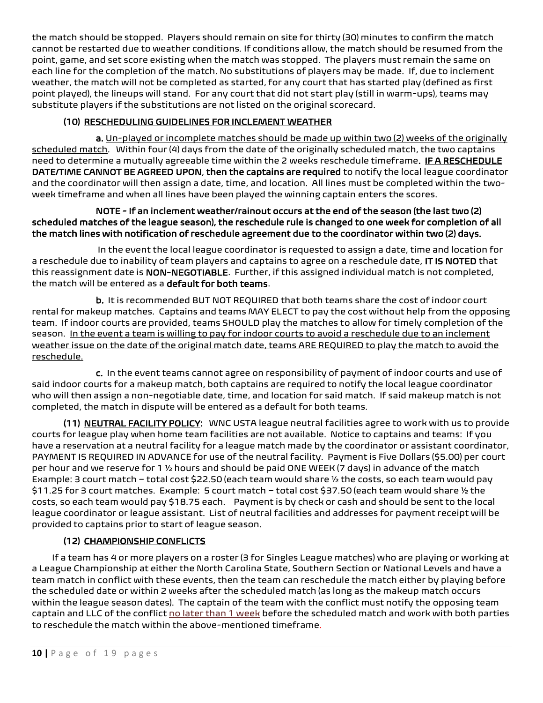the match should be stopped. Players should remain on site for thirty (30) minutes to confirm the match cannot be restarted due to weather conditions. If conditions allow, the match should be resumed from the point, game, and set score existing when the match was stopped. The players must remain the same on each line for the completion of the match. No substitutions of players may be made. If, due to inclement weather, the match will not be completed as started, for any court that has started play (defined as first point played), the lineups will stand. For any court that did not start play (still in warm-ups), teams may substitute players if the substitutions are not listed on the original scorecard.

# (10) RESCHEDULING GUIDELINES FOR INCLEMENT WEATHER

 a. Un-played or incomplete matches should be made up within two (2) weeks of the originally scheduled match. Within four (4) days from the date of the originally scheduled match, the two captains need to determine a mutually agreeable time within the 2 weeks reschedule timeframe. IF A RESCHEDULE DATE/TIME CANNOT BE AGREED UPON, then the captains are required to notify the local league coordinator and the coordinator will then assign a date, time, and location. All lines must be completed within the twoweek timeframe and when all lines have been played the winning captain enters the scores.

## NOTE - If an inclement weather/rainout occurs at the end of the season (the last two (2) scheduled matches of the league season), the reschedule rule is changed to one week for completion of all the match lines with notification of reschedule agreement due to the coordinator within two (2) days.

In the event the local league coordinator is requested to assign a date, time and location for a reschedule due to inability of team players and captains to agree on a reschedule date, IT IS NOTED that this reassignment date is NON-NEGOTIABLE. Further, if this assigned individual match is not completed, the match will be entered as a default for both teams.

 b. It is recommended BUT NOT REQUIRED that both teams share the cost of indoor court rental for makeup matches. Captains and teams MAY ELECT to pay the cost without help from the opposing team. If indoor courts are provided, teams SHOULD play the matches to allow for timely completion of the season. In the event a team is willing to pay for indoor courts to avoid a reschedule due to an inclement weather issue on the date of the original match date, teams ARE REQUIRED to play the match to avoid the reschedule.

 c. In the event teams cannot agree on responsibility of payment of indoor courts and use of said indoor courts for a makeup match, both captains are required to notify the local league coordinator who will then assign a non-negotiable date, time, and location for said match. If said makeup match is not completed, the match in dispute will be entered as a default for both teams.

(11) NEUTRAL FACILITY POLICY: WNC USTA league neutral facilities agree to work with us to provide courts for league play when home team facilities are not available. Notice to captains and teams: If you have a reservation at a neutral facility for a league match made by the coordinator or assistant coordinator, PAYMENT IS REQUIRED IN ADVANCE for use of the neutral facility. Payment is Five Dollars (\$5.00) per court per hour and we reserve for 1 ½ hours and should be paid ONE WEEK (7 days) in advance of the match Example: 3 court match – total cost \$22.50 (each team would share ½ the costs, so each team would pay \$11.25 for 3 court matches. Example: 5 court match – total cost \$37.50 (each team would share ½ the costs, so each team would pay \$18.75 each. Payment is by check or cash and should be sent to the local league coordinator or league assistant. List of neutral facilities and addresses for payment receipt will be provided to captains prior to start of league season.

# (12) CHAMPIONSHIP CONFLICTS

 If a team has 4 or more players on a roster (3 for Singles League matches) who are playing or working at a League Championship at either the North Carolina State, Southern Section or National Levels and have a team match in conflict with these events, then the team can reschedule the match either by playing before the scheduled date or within 2 weeks after the scheduled match (as long as the makeup match occurs within the league season dates). The captain of the team with the conflict must notify the opposing team captain and LLC of the conflict no later than 1 week before the scheduled match and work with both parties to reschedule the match within the above-mentioned timeframe.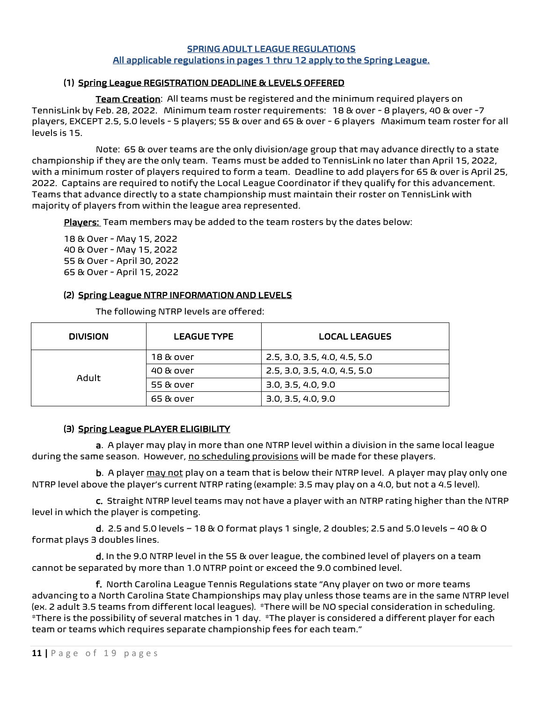#### SPRING ADULT LEAGUE REGULATIONS All applicable regulations in pages 1 thru 12 apply to the Spring League.

# (1) Spring League REGISTRATION DEADLINE & LEVELS OFFERED

Team Creation: All teams must be registered and the minimum required players on TennisLink by Feb. 28, 2022. Minimum team roster requirements: 18 & over - 8 players, 40 & over -7 players, EXCEPT 2.5, 5.0 levels - 5 players; 55 & over and 65 & over - 6 players Maximum team roster for all levels is 15.

Note: 65 & over teams are the only division/age group that may advance directly to a state championship if they are the only team. Teams must be added to TennisLink no later than April 15, 2022, with a minimum roster of players required to form a team. Deadline to add players for 65 & over is April 25, 2022. Captains are required to notify the Local League Coordinator if they qualify for this advancement. Teams that advance directly to a state championship must maintain their roster on TennisLink with majority of players from within the league area represented.

Players: Team members may be added to the team rosters by the dates below:

18 & Over - May 15, 2022 40 & Over - May 15, 2022 55 & Over - April 30, 2022 65 & Over - April 15, 2022

## (2) Spring League NTRP INFORMATION AND LEVELS

The following NTRP levels are offered:

| DIVISION | <b>LEAGUE TYPE</b> | <b>LOCAL LEAGUES</b>         |
|----------|--------------------|------------------------------|
| Adult    | 18 & over          | 2.5, 3.0, 3.5, 4.0, 4.5, 5.0 |
|          | 40 & over          | 2.5, 3.0, 3.5, 4.0, 4.5, 5.0 |
|          | 55 & over          | 3.0, 3.5, 4.0, 9.0           |
|          | 65 & over          | 3.0, 3.5, 4.0, 9.0           |

#### (3) Spring League PLAYER ELIGIBILITY

a. A player may play in more than one NTRP level within a division in the same local league during the same season. However, no scheduling provisions will be made for these players.

b. A player may not play on a team that is below their NTRP level. A player may play only one NTRP level above the player's current NTRP rating (example: 3.5 may play on a 4.0, but not a 4.5 level).

 c. Straight NTRP level teams may not have a player with an NTRP rating higher than the NTRP level in which the player is competing.

d. 2.5 and 5.0 levels – 18  $\&$  O format plays 1 single, 2 doubles; 2.5 and 5.0 levels – 40  $\&$  O format plays 3 doubles lines.

 d. In the 9.0 NTRP level in the 55 & over league, the combined level of players on a team cannot be separated by more than 1.0 NTRP point or exceed the 9.0 combined level.

 f. North Carolina League Tennis Regulations state "Any player on two or more teams advancing to a North Carolina State Championships may play unless those teams are in the same NTRP level (ex. 2 adult 3.5 teams from different local leagues). \*There will be NO special consideration in scheduling. \*There is the possibility of several matches in 1 day. \*The player is considered a different player for each team or teams which requires separate championship fees for each team."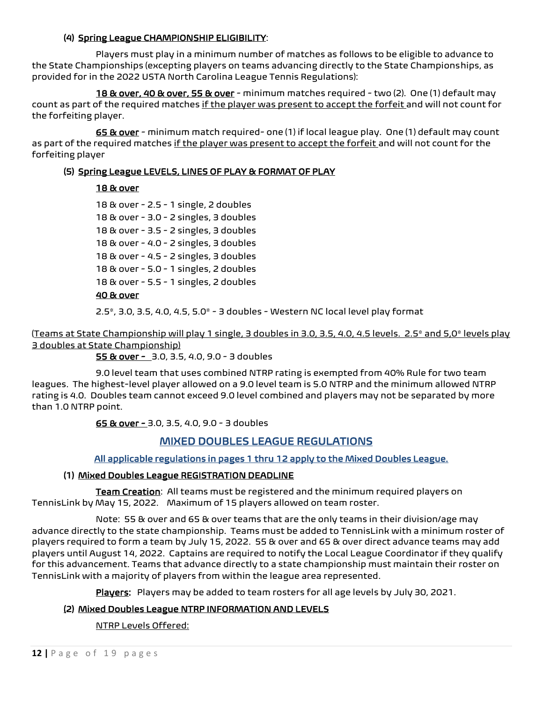## (4) Spring League CHAMPIONSHIP ELIGIBILITY:

Players must play in a minimum number of matches as follows to be eligible to advance to the State Championships (excepting players on teams advancing directly to the State Championships, as provided for in the 2022 USTA North Carolina League Tennis Regulations):

18 & over, 40 & over, 55 & over - minimum matches required - two (2). One (1) default may count as part of the required matches if the player was present to accept the forfeit and will not count for the forfeiting player.

65 & over - minimum match required- one (1) if local league play. One (1) default may count as part of the required matches if the player was present to accept the forfeit and will not count for the forfeiting player

# (5) Spring League LEVELS, LINES OF PLAY & FORMAT OF PLAY

# 18 & over

18 & over - 2.5 - 1 single, 2 doubles 18 & over - 3.0 - 2 singles, 3 doubles 18 & over - 3.5 - 2 singles, 3 doubles 18 & over - 4.0 - 2 singles, 3 doubles 18 & over - 4.5 - 2 singles, 3 doubles 18 & over - 5.0 - 1 singles, 2 doubles 18 & over - 5.5 - 1 singles, 2 doubles 40 & over

2.5\*, 3.0, 3.5, 4.0, 4.5, 5.0\* - 3 doubles - Western NC local level play format

(Teams at State Championship will play 1 single, 3 doubles in 3.0, 3.5, 4.0, 4.5 levels. 2.5\* and 5,0\* levels play 3 doubles at State Championship)

55 & over - 3.0, 3.5, 4.0, 9.0 - 3 doubles

9.0 level team that uses combined NTRP rating is exempted from 40% Rule for two team leagues. The highest-level player allowed on a 9.0 level team is 5.0 NTRP and the minimum allowed NTRP rating is 4.0. Doubles team cannot exceed 9.0 level combined and players may not be separated by more than 1.0 NTRP point.

65 & over - 3.0, 3.5, 4.0, 9.0 - 3 doubles

# MIXED DOUBLES LEAGUE REGULATIONS

## All applicable regulations in pages 1 thru 12 apply to the Mixed Doubles League.

## (1) Mixed Doubles League REGISTRATION DEADLINE

Team Creation: All teams must be registered and the minimum required players on TennisLink by May 15, 2022. Maximum of 15 players allowed on team roster.

Note: 55 & over and 65 & over teams that are the only teams in their division/age may advance directly to the state championship. Teams must be added to TennisLink with a minimum roster of players required to form a team by July 15, 2022. 55 & over and 65 & over direct advance teams may add players until August 14, 2022. Captains are required to notify the Local League Coordinator if they qualify for this advancement. Teams that advance directly to a state championship must maintain their roster on TennisLink with a majority of players from within the league area represented.

Players: Players may be added to team rosters for all age levels by July 30, 2021.

# (2) Mixed Doubles League NTRP INFORMATION AND LEVELS

NTRP Levels Offered: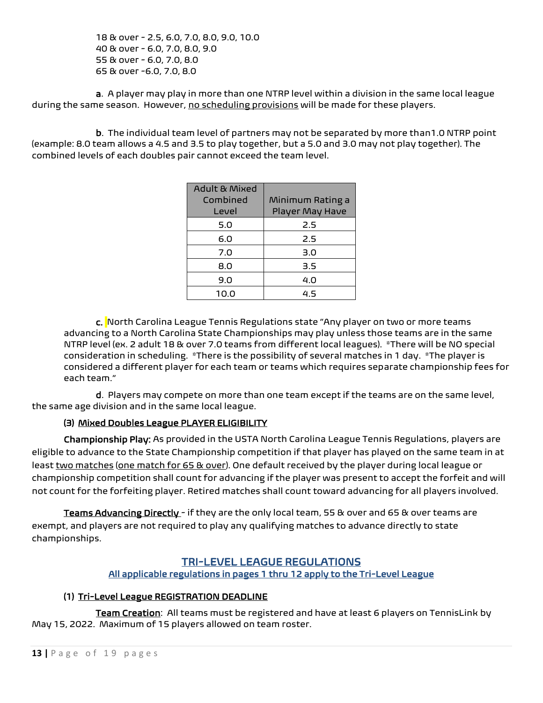18 & over - 2.5, 6.0, 7.0, 8.0, 9.0, 10.0 40 & over - 6.0, 7.0, 8.0, 9.0 55 & over - 6.0, 7.0, 8.0 65 & over -6.0, 7.0, 8.0

a. A player may play in more than one NTRP level within a division in the same local league during the same season. However, no scheduling provisions will be made for these players.

 b. The individual team level of partners may not be separated by more than1.0 NTRP point (example: 8.0 team allows a 4.5 and 3.5 to play together, but a 5.0 and 3.0 may not play together). The combined levels of each doubles pair cannot exceed the team level.

| <b>Adult &amp; Mixed</b><br>Combined<br>Level | Minimum Rating a<br>Player May Have |
|-----------------------------------------------|-------------------------------------|
| 5.0                                           | 2.5                                 |
| 6.0                                           | 2.5                                 |
| 7.0                                           | 3.0                                 |
| 8.0                                           | 3.5                                 |
| 9.0                                           | 4.0                                 |
| 10.0                                          | 45                                  |

c. North Carolina League Tennis Regulations state "Any player on two or more teams advancing to a North Carolina State Championships may play unless those teams are in the same NTRP level (ex. 2 adult 18 & over 7.0 teams from different local leagues). \*There will be NO special consideration in scheduling. \*There is the possibility of several matches in 1 day. \*The player is considered a different player for each team or teams which requires separate championship fees for each team."

 d. Players may compete on more than one team except if the teams are on the same level, the same age division and in the same local league.

# (3) Mixed Doubles League PLAYER ELIGIBILITY

Championship Play: As provided in the USTA North Carolina League Tennis Regulations, players are eligible to advance to the State Championship competition if that player has played on the same team in at least two matches (one match for 65 & over). One default received by the player during local league or championship competition shall count for advancing if the player was present to accept the forfeit and will not count for the forfeiting player. Retired matches shall count toward advancing for all players involved.

Teams Advancing Directly - if they are the only local team, 55 & over and 65 & over teams are exempt, and players are not required to play any qualifying matches to advance directly to state championships.

# TRI-LEVEL LEAGUE REGULATIONS

# All applicable regulations in pages 1 thru 12 apply to the Tri-Level League

# (1) Tri-Level League REGISTRATION DEADLINE

Team Creation: All teams must be registered and have at least 6 players on TennisLink by May 15, 2022. Maximum of 15 players allowed on team roster.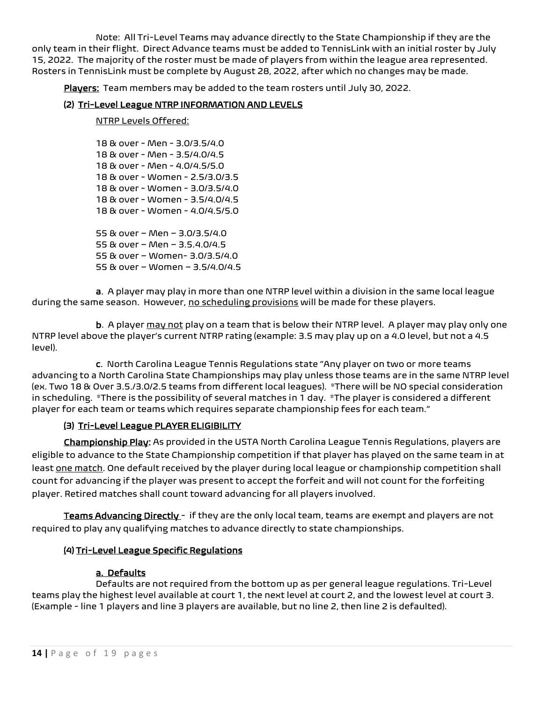Note: All Tri-Level Teams may advance directly to the State Championship if they are the only team in their flight. Direct Advance teams must be added to TennisLink with an initial roster by July 15, 2022. The majority of the roster must be made of players from within the league area represented. Rosters in TennisLink must be complete by August 28, 2022, after which no changes may be made.

Players: Team members may be added to the team rosters until July 30, 2022.

# (2) Tri-Level League NTRP INFORMATION AND LEVELS

#### NTRP Levels Offered:

18 & over - Men - 3.0/3.5/4.0 18 & over - Men - 3.5/4.0/4.5 18 & over - Men - 4.0/4.5/5.0 18 & over - Women - 2.5/3.0/3.5 18 & over - Women - 3.0/3.5/4.0 18 & over - Women - 3.5/4.0/4.5 18 & over - Women - 4.0/4.5/5.0 55 & over – Men – 3.0/3.5/4.0 55 & over – Men – 3.5.4.0/4.5 55 & over – Women- 3.0/3.5/4.0 55 & over – Women – 3.5/4.0/4.5

a. A player may play in more than one NTRP level within a division in the same local league during the same season. However, no scheduling provisions will be made for these players.

b. A player may not play on a team that is below their NTRP level. A player may play only one NTRP level above the player's current NTRP rating (example: 3.5 may play up on a 4.0 level, but not a 4.5 level).

 c. North Carolina League Tennis Regulations state "Any player on two or more teams advancing to a North Carolina State Championships may play unless those teams are in the same NTRP level (ex. Two 18 & Over 3.5./3.0/2.5 teams from different local leagues). \*There will be NO special consideration in scheduling. \*There is the possibility of several matches in 1 day. \*The player is considered a different player for each team or teams which requires separate championship fees for each team."

## (3) Tri-Level League PLAYER ELIGIBILITY

Championship Play: As provided in the USTA North Carolina League Tennis Regulations, players are eligible to advance to the State Championship competition if that player has played on the same team in at least one match. One default received by the player during local league or championship competition shall count for advancing if the player was present to accept the forfeit and will not count for the forfeiting player. Retired matches shall count toward advancing for all players involved.

Teams Advancing Directly - if they are the only local team, teams are exempt and players are not required to play any qualifying matches to advance directly to state championships.

## (4) Tri-Level League Specific Regulations

## a. Defaults

 Defaults are not required from the bottom up as per general league regulations. Tri-Level teams play the highest level available at court 1, the next level at court 2, and the lowest level at court 3. (Example - line 1 players and line 3 players are available, but no line 2, then line 2 is defaulted).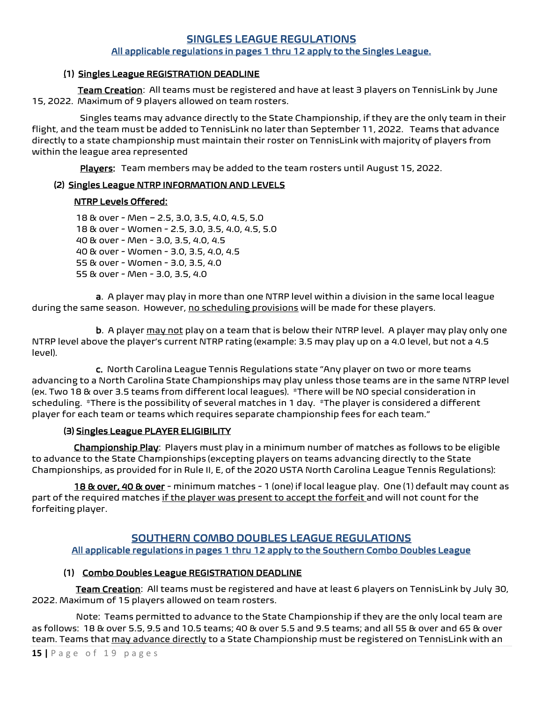# SINGLES LEAGUE REGULATIONS All applicable regulations in pages 1 thru 12 apply to the Singles League.

# (1) Singles League REGISTRATION DEADLINE

Team Creation: All teams must be registered and have at least 3 players on TennisLink by June 15, 2022. Maximum of 9 players allowed on team rosters.

 Singles teams may advance directly to the State Championship, if they are the only team in their flight, and the team must be added to TennisLink no later than September 11, 2022. Teams that advance directly to a state championship must maintain their roster on TennisLink with majority of players from within the league area represented

Players: Team members may be added to the team rosters until August 15, 2022.

# (2) Singles League NTRP INFORMATION AND LEVELS

## NTRP Levels Offered:

 18 & over - Men – 2.5, 3.0, 3.5, 4.0, 4.5, 5.0 18 & over - Women - 2.5, 3.0, 3.5, 4.0, 4.5, 5.0 40 & over - Men - 3.0, 3.5, 4.0, 4.5 40 & over - Women - 3.0, 3.5, 4.0, 4.5 55 & over - Women - 3.0, 3.5, 4.0 55 & over - Men - 3.0, 3.5, 4.0

a. A player may play in more than one NTRP level within a division in the same local league during the same season. However, no scheduling provisions will be made for these players.

b. A player may not play on a team that is below their NTRP level. A player may play only one NTRP level above the player's current NTRP rating (example: 3.5 may play up on a 4.0 level, but not a 4.5 level).

 c. North Carolina League Tennis Regulations state "Any player on two or more teams advancing to a North Carolina State Championships may play unless those teams are in the same NTRP level (ex. Two 18 & over 3.5 teams from different local leagues). \*There will be NO special consideration in scheduling. \*There is the possibility of several matches in 1 day. \*The player is considered a different player for each team or teams which requires separate championship fees for each team."

## (3) Singles League PLAYER ELIGIBILITY

 Championship Play: Players must play in a minimum number of matches as follows to be eligible to advance to the State Championships (excepting players on teams advancing directly to the State Championships, as provided for in Rule II, E, of the 2020 USTA North Carolina League Tennis Regulations):

18 & over, 40 & over - minimum matches - 1 (one) if local league play. One (1) default may count as part of the required matches if the player was present to accept the forfeit and will not count for the forfeiting player.

# SOUTHERN COMBO DOUBLES LEAGUE REGULATIONS

## All applicable regulations in pages 1 thru 12 apply to the Southern Combo Doubles League

## (1) Combo Doubles League REGISTRATION DEADLINE

Team Creation: All teams must be registered and have at least 6 players on TennisLink by July 30, 2022. Maximum of 15 players allowed on team rosters.

 Note: Teams permitted to advance to the State Championship if they are the only local team are as follows: 18 & over 5.5, 9.5 and 10.5 teams; 40 & over 5.5 and 9.5 teams; and all 55 & over and 65 & over team. Teams that may advance directly to a State Championship must be registered on TennisLink with an